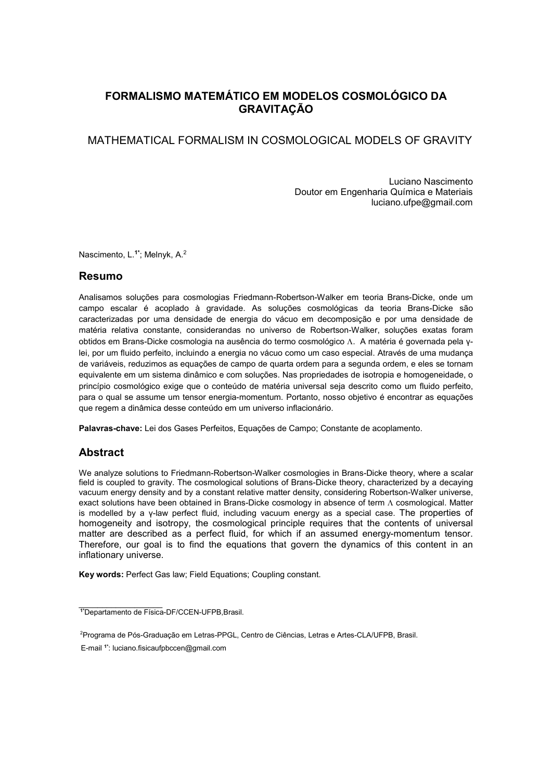# **FORMALISMO MATEMÁTICO EM MODELOS COSMOLÓGICO DA GRAVITAÇÃO**

# MATHEMATICAL FORMALISM IN COSMOLOGICAL MODELS OF GRAVITY

Luciano Nascimento Doutor em Engenharia Química e Materiais luciano.ufpe@gmail.com

Nascimento, L.**1\***; Melnyk, A.2

# **Resumo**

Analisamos soluções para cosmologias Friedmann-Robertson-Walker em teoria Brans-Dicke, onde um campo escalar é acoplado à gravidade. As soluções cosmológicas da teoria Brans-Dicke são caracterizadas por uma densidade de energia do vácuo em decomposição e por uma densidade de matéria relativa constante, considerandas no universo de Robertson-Walker, soluções exatas foram obtidos em Brans-Dicke cosmologia na ausência do termo cosmológico Λ. A matéria é governada pela γlei, por um fluido perfeito, incluindo a energia no vácuo como um caso especial. Através de uma mudança de variáveis, reduzimos as equações de campo de quarta ordem para a segunda ordem, e eles se tornam equivalente em um sistema dinâmico e com soluções. Nas propriedades de isotropia e homogeneidade, o princípio cosmológico exige que o conteúdo de matéria universal seja descrito como um fluido perfeito, para o qual se assume um tensor energia-momentum. Portanto, nosso objetivo é encontrar as equações que regem a dinâmica desse conteúdo em um universo inflacionário.

**Palavras-chave:** Lei dos Gases Perfeitos, Equações de Campo; Constante de acoplamento.

# **Abstract**

We analyze solutions to Friedmann-Robertson-Walker cosmologies in Brans-Dicke theory, where a scalar field is coupled to gravity. The cosmological solutions of Brans-Dicke theory, characterized by a decaying vacuum energy density and by a constant relative matter density, considering Robertson-Walker universe, exact solutions have been obtained in Brans-Dicke cosmology in absence of term Λ cosmological. Matter is modelled by a γ-law perfect fluid, including vacuum energy as a special case. The properties of homogeneity and isotropy, the cosmological principle requires that the contents of universal matter are described as a perfect fluid, for which if an assumed energy-momentum tensor. Therefore, our goal is to find the equations that govern the dynamics of this content in an inflationary universe.

**Key words:** Perfect Gas law; Field Equations; Coupling constant.

E-mail **1\***: luciano.fisicaufpbccen@gmail.com

 $\_$ **1\***Departamento de Física-DF/CCEN-UFPB,Brasil.

<sup>2</sup> Programa de Pós-Graduação em Letras-PPGL, Centro de Ciências, Letras e Artes-CLA/UFPB, Brasil.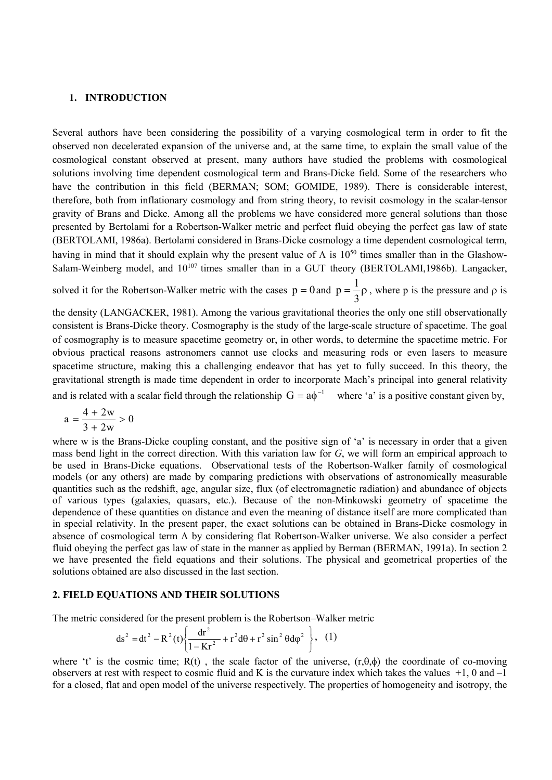#### **1. INTRODUCTION**

Several authors have been considering the possibility of a varying cosmological term in order to fit the observed non decelerated expansion of the universe and, at the same time, to explain the small value of the cosmological constant observed at present, many authors have studied the problems with cosmological solutions involving time dependent cosmological term and Brans-Dicke field. Some of the researchers who have the contribution in this field (BERMAN; SOM; GOMIDE, 1989). There is considerable interest, therefore, both from inflationary cosmology and from string theory, to revisit cosmology in the scalar-tensor gravity of Brans and Dicke. Among all the problems we have considered more general solutions than those presented by Bertolami for a Robertson-Walker metric and perfect fluid obeying the perfect gas law of state (BERTOLAMI, 1986a). Bertolami considered in Brans-Dicke cosmology a time dependent cosmological term, having in mind that it should explain why the present value of  $\Lambda$  is  $10^{50}$  times smaller than in the Glashow-Salam-Weinberg model, and  $10^{107}$  times smaller than in a GUT theory (BERTOLAMI,1986b). Langacker,

solved it for the Robertson-Walker metric with the cases  $p = 0$  and  $p = \frac{1}{2}\rho$ 3  $p = \frac{1}{2} \rho$ , where p is the pressure and  $\rho$  is

the density (LANGACKER, 1981). Among the various gravitational theories the only one still observationally consistent is Brans-Dicke theory. Cosmography is the study of the large-scale structure of spacetime. The goal of cosmography is to measure spacetime geometry or, in other words, to determine the spacetime metric. For obvious practical reasons astronomers cannot use clocks and measuring rods or even lasers to measure spacetime structure, making this a challenging endeavor that has yet to fully succeed. In this theory, the gravitational strength is made time dependent in order to incorporate Mach's principal into general relativity and is related with a scalar field through the relationship  $G = a\phi^{-1}$  where 'a' is a positive constant given by,

$$
a = \frac{4+2w}{3+2w} > 0
$$

where w is the Brans-Dicke coupling constant, and the positive sign of 'a' is necessary in order that a given mass bend light in the correct direction. With this variation law for *G*, we will form an empirical approach to be used in Brans-Dicke equations. Observational tests of the Robertson-Walker family of cosmological models (or any others) are made by comparing predictions with observations of astronomically measurable quantities such as the redshift, age, angular size, flux (of electromagnetic radiation) and abundance of objects of various types (galaxies, quasars, etc.). Because of the non-Minkowski geometry of spacetime the dependence of these quantities on distance and even the meaning of distance itself are more complicated than in special relativity. In the present paper, the exact solutions can be obtained in Brans-Dicke cosmology in absence of cosmological term Λ by considering flat Robertson-Walker universe. We also consider a perfect fluid obeying the perfect gas law of state in the manner as applied by Berman (BERMAN, 1991a). In section 2 we have presented the field equations and their solutions. The physical and geometrical properties of the solutions obtained are also discussed in the last section.

### **2. FIELD EQUATIONS AND THEIR SOLUTIONS**

The metric considered for the present problem is the Robertson–Walker metric

$$
ds^{2} = dt^{2} - R^{2}(t) \left\{ \frac{dr^{2}}{1 - Kr^{2}} + r^{2} d\theta + r^{2} \sin^{2} \theta d\phi^{2} \right\}, (1)
$$

where 't' is the cosmic time;  $R(t)$ , the scale factor of the universe,  $(r, \theta, \phi)$  the coordinate of co-moving observers at rest with respect to cosmic fluid and K is the curvature index which takes the values  $+1$ , 0 and  $-1$ for a closed, flat and open model of the universe respectively. The properties of homogeneity and isotropy, the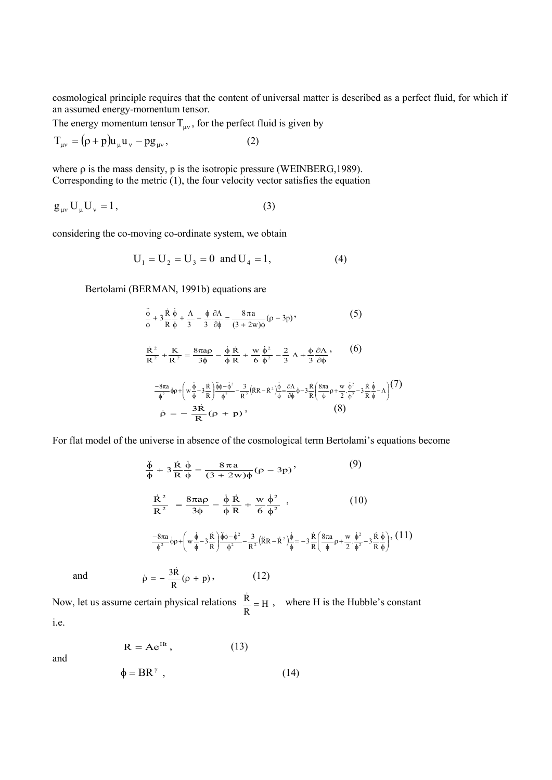cosmological principle requires that the content of universal matter is described as a perfect fluid, for which if an assumed energy-momentum tensor.

The energy momentum tensor  $T_{uv}$ , for the perfect fluid is given by

$$
T_{\mu\nu} = (\rho + p)u_{\mu}u_{\nu} - pg_{\mu\nu},
$$
 (2)

where  $\rho$  is the mass density,  $p$  is the isotropic pressure (WEINBERG, 1989). Corresponding to the metric (1), the four velocity vector satisfies the equation

$$
g_{\mu\nu} U_{\mu} U_{\nu} = 1, \qquad (3)
$$

considering the co-moving co-ordinate system, we obtain

$$
U_1 = U_2 = U_3 = 0 \text{ and } U_4 = 1,
$$
 (4)

Bertolami (BERMAN, 1991b) equations are

$$
\frac{\ddot{\phi}}{\phi} + 3\frac{\dot{R}}{R}\frac{\dot{\phi}}{\phi} + \frac{\Lambda}{3} - \frac{\phi}{3}\frac{\partial\Lambda}{\partial\phi} = \frac{8\pi a}{(3+2w)\phi}(\rho - 3p),
$$
\n
$$
\frac{\dot{R}^2}{R^2} + \frac{K}{R^2} = \frac{8\pi a\rho}{3\phi} - \frac{\dot{\phi}}{\phi}\frac{\dot{R}}{R} + \frac{w}{6}\frac{\dot{\phi}^2}{\phi^2} - \frac{2}{3}\Lambda + \frac{\phi}{3}\frac{\partial\Lambda}{\partial\phi},
$$
\n
$$
\frac{-8\pi a}{\phi^2}\dot{\phi} + \left(w\frac{\dot{\phi}}{\phi} - 3\frac{\dot{R}}{R}\right)\frac{\dot{\phi}\phi - \dot{\phi}^2}{\phi^2} - \frac{3}{R^2}(\ddot{R}R - \dot{R}^2)\frac{\dot{\phi}}{\phi} = \frac{\partial\Lambda}{\partial\phi}\dot{\phi} - 3\frac{\dot{R}}{R}\left(\frac{8\pi a}{\phi}\rho + \frac{w}{2}\frac{\dot{\phi}^2}{\phi^2} - 3\frac{\dot{R}}{R}\dot{\phi} - \Lambda\right)
$$
\n
$$
\dot{\rho} = -\frac{3\dot{R}}{R}(\rho + p),
$$
\n(8)

For flat model of the universe in absence of the cosmological term Bertolami's equations become

$$
\frac{\ddot{\Phi}}{\Phi} + 3\frac{\dot{R}}{R}\frac{\dot{\Phi}}{\Phi} = \frac{8\pi a}{(3+2w)\phi}(\rho - 3p) ,
$$
\n(9)\n
$$
\frac{\dot{R}^2}{R^2} = \frac{8\pi a\rho}{3\phi} - \frac{\dot{\Phi}}{\Phi}\frac{\dot{R}}{R} + \frac{w}{6}\frac{\dot{\Phi}^2}{\phi^2} ,
$$
\n(10)\n
$$
\frac{-8\pi a}{\phi^2}\dot{\phi}p + \left(w\frac{\dot{\Phi}}{\phi} - 3\frac{\dot{R}}{R}\right)\frac{\dot{\phi}\phi - \dot{\phi}^2}{\phi^2} - \frac{3}{R^2}(\ddot{R}R - \dot{R}^2)\frac{\dot{\phi}}{\phi} = -3\frac{\dot{R}}{R}\left(\frac{8\pi a}{\phi}\rho + \frac{w}{2}\frac{\dot{\phi}^2}{\phi^2} - 3\frac{\dot{R}}{R}\dot{\phi}\right),
$$
\n(11)\n
$$
\dot{\rho} = -\frac{3\dot{R}}{R}(\rho + p) ,
$$
\n(12)

Now, let us assume certain physical relations  $\frac{R}{R} = H$ R  $\frac{\dot{R}}{R}$  = H, where H is the Hubble's constant i.e.

$$
R = Ae^{Ht}, \qquad (13)
$$

and

$$
\phi = BR^{\gamma} \t\t(14)
$$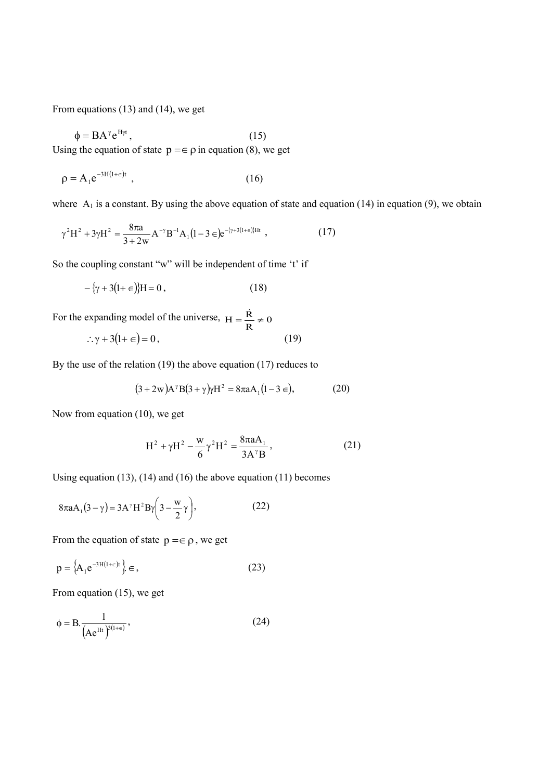From equations (13) and (14), we get

$$
\phi = BA^{\gamma} e^{H\gamma t}, \qquad (15)
$$

Using the equation of state  $p = \epsilon \rho$  in equation (8), we get

$$
\rho = A_1 e^{-3H(1+\epsilon)t} \tag{16}
$$

where  $A_1$  is a constant. By using the above equation of state and equation (14) in equation (9), we obtain

$$
\gamma^{2}H^{2} + 3\gamma H^{2} = \frac{8\pi a}{3+2w}A^{-\gamma}B^{-1}A_{1}(1-3\epsilon)e^{-\{\gamma+3(1+\epsilon)\}Ht} , \qquad (17)
$$

So the coupling constant "w" will be independent of time 't' if

$$
-\{\gamma+3(1+\epsilon)\}H=0\,,\tag{18}
$$

For the expanding model of the universe,  $H = \frac{\dot{R}}{R} \neq 0$ 

$$
\therefore \gamma + 3(1 + \epsilon) = 0,\tag{19}
$$

By the use of the relation (19) the above equation (17) reduces to

$$
(3+2w)A^{\gamma}B(3+\gamma)\gamma H^2 = 8\pi aA_1(1-3\epsilon), \qquad (20)
$$

Now from equation (10), we get

$$
H^{2} + \gamma H^{2} - \frac{w}{6} \gamma^{2} H^{2} = \frac{8\pi a A_{1}}{3A^{\gamma} B},
$$
 (21)

Using equation (13), (14) and (16) the above equation (11) becomes

$$
8\pi aA_1(3-\gamma) = 3A^{\gamma}H^2B\gamma\left(3-\frac{w}{2}\gamma\right),\tag{22}
$$

From the equation of state  $p = \epsilon \rho$ , we get

$$
p = \left\{ A_1 e^{-3H(1+\epsilon)t} \right\} \in , \tag{23}
$$

From equation (15), we get

$$
\phi = B \cdot \frac{1}{\left(Ae^{Ht}\right)^{3(1+\epsilon)}},\tag{24}
$$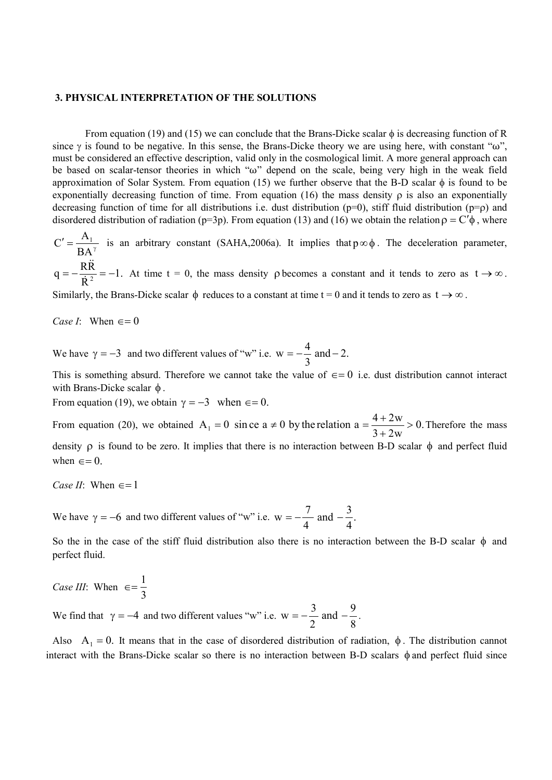#### **3. PHYSICAL INTERPRETATION OF THE SOLUTIONS**

From equation (19) and (15) we can conclude that the Brans-Dicke scalar  $\phi$  is decreasing function of R since  $\gamma$  is found to be negative. In this sense, the Brans-Dicke theory we are using here, with constant " $\omega$ ", must be considered an effective description, valid only in the cosmological limit. A more general approach can be based on scalar-tensor theories in which "ω" depend on the scale, being very high in the weak field approximation of Solar System. From equation (15) we further observe that the B-D scalar  $\phi$  is found to be exponentially decreasing function of time. From equation (16) the mass density  $\rho$  is also an exponentially decreasing function of time for all distributions i.e. dust distribution (p=0), stiff fluid distribution (p= $\rho$ ) and disordered distribution of radiation (p=3p). From equation (13) and (16) we obtain the relation  $\rho = C' \phi$ , where

 $C' = \frac{A_1}{BA^{\gamma}}$  is an arbitrary constant (SAHA,2006a). It implies that  $p \infty \phi$ . The deceleration parameter,

 $q = -\frac{R\ddot{R}}{\dot{R}^2} = -1$ . At time t = 0, the mass density p becomes a constant and it tends to zero as  $t \to \infty$ . Similarly, the Brans-Dicke scalar  $\phi$  reduces to a constant at time t = 0 and it tends to zero as  $t \to \infty$ .

*Case I*: When  $\epsilon = 0$ 

We have  $\gamma = -3$  and two different values of "w" i.e.  $w = -\frac{4}{3}$  and - 2.

This is something absurd. Therefore we cannot take the value of  $\epsilon = 0$  i.e. dust distribution cannot interact with Brans-Dicke scalar  $\phi$ .

From equation (19), we obtain  $\gamma = -3$  when  $\epsilon = 0$ .

From equation (20), we obtained  $A_1 = 0$  since  $a \neq 0$  by the relation  $a = \frac{4 + 2w}{3 + 2w} > 0$ .  $= 0$  sin ce a  $\neq 0$  by the relation a  $= \frac{4 + 2w}{2} > 0$ . Therefore the mass density  $\rho$  is found to be zero. It implies that there is no interaction between B-D scalar  $\phi$  and perfect fluid when  $\epsilon = 0$ .

*Case II*: When  $\epsilon = 1$ 

We have  $\gamma = -6$  and two different values of "w" i.e.  $w = -\frac{7}{4}$  and  $-\frac{3}{4}$ . 4 and  $-\frac{3}{4}$ 4  $w = -\frac{7}{4}$  and  $-$ 

So the in the case of the stiff fluid distribution also there is no interaction between the B-D scalar  $\phi$  and perfect fluid.

*Case III*: When 3  $\epsilon = \frac{1}{2}$ 

We find that  $\gamma = -4$  and two different values "w" i.e.  $w = -\frac{3}{2}$  and  $-\frac{9}{8}$ 2  $w = -\frac{3}{2}$  and  $-\frac{9}{3}$ .

Also  $A_1 = 0$ . It means that in the case of disordered distribution of radiation,  $\phi$ . The distribution cannot interact with the Brans-Dicke scalar so there is no interaction between B-D scalars φ and perfect fluid since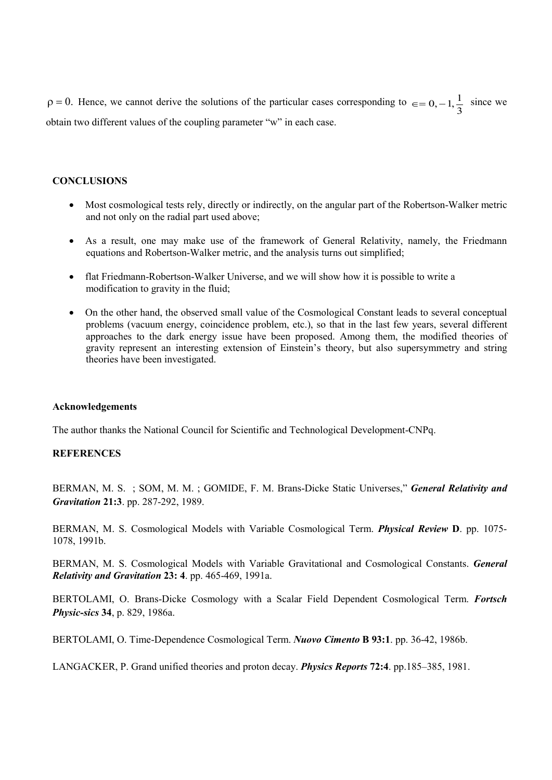$\rho = 0$ . Hence, we cannot derive the solutions of the particular cases corresponding to 3  $\epsilon = 0, -1, \frac{1}{2}$  since we obtain two different values of the coupling parameter "w" in each case.

## **CONCLUSIONS**

- Most cosmological tests rely, directly or indirectly, on the angular part of the Robertson-Walker metric and not only on the radial part used above;
- As a result, one may make use of the framework of General Relativity, namely, the Friedmann equations and Robertson-Walker metric, and the analysis turns out simplified;
- flat Friedmann-Robertson-Walker Universe, and we will show how it is possible to write a modification to gravity in the fluid;
- On the other hand, the observed small value of the Cosmological Constant leads to several conceptual problems (vacuum energy, coincidence problem, etc.), so that in the last few years, several different approaches to the dark energy issue have been proposed. Among them, the modified theories of gravity represent an interesting extension of Einstein's theory, but also supersymmetry and string theories have been investigated.

#### **Acknowledgements**

The author thanks the National Council for Scientific and Technological Development-CNPq.

## **REFERENCES**

BERMAN, M. S. ; SOM, M. M. ; GOMIDE, F. M. Brans-Dicke Static Universes," *General Relativity and Gravitation* **21:3**. pp. 287-292, 1989.

BERMAN, M. S. Cosmological Models with Variable Cosmological Term. *Physical Review* **D**. pp. 1075- 1078, 1991b.

BERMAN, M. S. Cosmological Models with Variable Gravitational and Cosmological Constants. *General Relativity and Gravitation* **23: 4**. pp. 465-469, 1991a.

BERTOLAMI, O. Brans-Dicke Cosmology with a Scalar Field Dependent Cosmological Term. *Fortsch Physic-sics* **34**, p. 829, 1986a.

BERTOLAMI, O. Time-Dependence Cosmological Term. *Nuovo Cimento* **B 93:1**. pp. 36-42, 1986b.

LANGACKER, P. Grand unified theories and proton decay. *Physics Reports* **72:4**. pp.185–385, 1981.